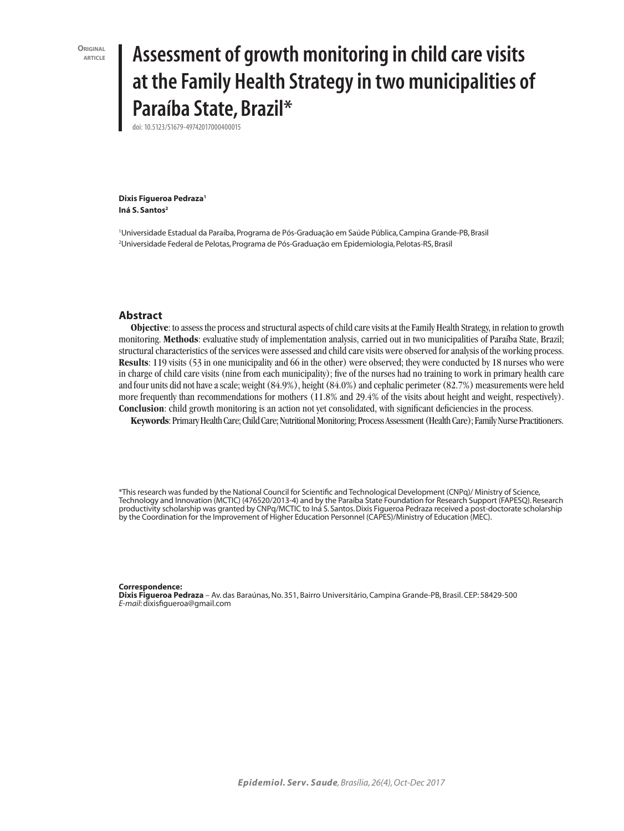**ORIGINAL**<br>**ARTICI F** 

# **article Assessment of growth monitoring in child care visits at the Family Health Strategy in two municipalities of Paraíba State, Brazil\***

doi: 10.5123/S1679-49742017000400015

**Dixis Figueroa Pedraza1** Iná S. Santos<sup>2</sup>

1 Universidade Estadual da Paraíba, Programa de Pós-Graduação em Saúde Pública, Campina Grande-PB, Brasil 2 Universidade Federal de Pelotas, Programa de Pós-Graduação em Epidemiologia, Pelotas-RS, Brasil

### **Abstract**

**Objective**: to assess the process and structural aspects of child care visits at the Family Health Strategy, in relation to growth monitoring. **Methods**: evaluative study of implementation analysis, carried out in two municipalities of Paraíba State, Brazil; structural characteristics of the services were assessed and child care visits were observed for analysis of the working process. **Results**: 119 visits (53 in one municipality and 66 in the other) were observed; they were conducted by 18 nurses who were in charge of child care visits (nine from each municipality); five of the nurses had no training to work in primary health care and four units did not have a scale; weight (84.9%), height (84.0%) and cephalic perimeter (82.7%) measurements were held more frequently than recommendations for mothers (11.8% and 29.4% of the visits about height and weight, respectively). **Conclusion**: child growth monitoring is an action not yet consolidated, with significant deficiencies in the process.

**Keywords**: Primary Health Care; Child Care; Nutritional Monitoring; Process Assessment (Health Care); Family Nurse Practitioners.

\*This research was funded by the National Council for Scientific and Technological Development (CNPq)/ Ministry of Science, Technology and Innovation (MCTIC) (476520/2013-4) and by the Paraíba State Foundation for Research Support (FAPESQ). Research productivity scholarship was granted by CNPq/MCTIC to Iná S. Santos. Dixis Figueroa Pedraza received a post-doctorate scholarship by the Coordination for the Improvement of Higher Education Personnel (CAPES)/Ministry of Education (MEC).

#### **Correspondence:**

**Dixis Figueroa Pedraza** – Av. das Baraúnas, No. 351, Bairro Universitário, Campina Grande-PB, Brasil. CEP: 58429-500 *E-mail*: dixisfigueroa@gmail.com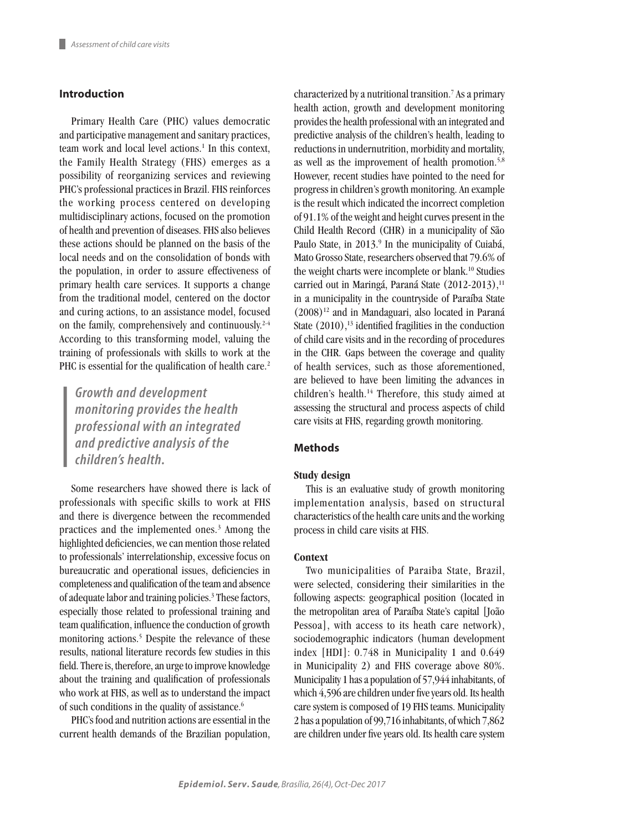## **Introduction**

Primary Health Care (PHC) values democratic and participative management and sanitary practices, team work and local level actions.<sup>1</sup> In this context, the Family Health Strategy (FHS) emerges as a possibility of reorganizing services and reviewing PHC's professional practices in Brazil. FHS reinforces the working process centered on developing multidisciplinary actions, focused on the promotion of health and prevention of diseases. FHS also believes these actions should be planned on the basis of the local needs and on the consolidation of bonds with the population, in order to assure effectiveness of primary health care services. It supports a change from the traditional model, centered on the doctor and curing actions, to an assistance model, focused on the family, comprehensively and continuously.2-4 According to this transforming model, valuing the training of professionals with skills to work at the PHC is essential for the qualification of health care.<sup>2</sup>

*Growth and development monitoring provides the health professional with an integrated and predictive analysis of the children's health.*

Some researchers have showed there is lack of professionals with specific skills to work at FHS and there is divergence between the recommended practices and the implemented ones.<sup>3</sup> Among the highlighted deficiencies, we can mention those related to professionals' interrelationship, excessive focus on bureaucratic and operational issues, deficiencies in completeness and qualification of the team and absence of adequate labor and training policies.<sup>3</sup> These factors, especially those related to professional training and team qualification, influence the conduction of growth monitoring actions.<sup>5</sup> Despite the relevance of these results, national literature records few studies in this field. There is, therefore, an urge to improve knowledge about the training and qualification of professionals who work at FHS, as well as to understand the impact of such conditions in the quality of assistance.<sup>6</sup>

PHC's food and nutrition actions are essential in the current health demands of the Brazilian population,

characterized by a nutritional transition.7 As a primary health action, growth and development monitoring provides the health professional with an integrated and predictive analysis of the children's health, leading to reductions in undernutrition, morbidity and mortality, as well as the improvement of health promotion.<sup>5,8</sup> However, recent studies have pointed to the need for progress in children's growth monitoring. An example is the result which indicated the incorrect completion of 91.1% of the weight and height curves present in the Child Health Record (CHR) in a municipality of São Paulo State, in 2013.<sup>9</sup> In the municipality of Cuiabá, Mato Grosso State, researchers observed that 79.6% of the weight charts were incomplete or blank.<sup>10</sup> Studies carried out in Maringá, Paraná State  $(2012-2013)$ ,<sup>11</sup> in a municipality in the countryside of Paraíba State  $(2008)^{12}$  and in Mandaguari, also located in Paraná State  $(2010)$ ,<sup>13</sup> identified fragilities in the conduction of child care visits and in the recording of procedures in the CHR. Gaps between the coverage and quality of health services, such as those aforementioned, are believed to have been limiting the advances in children's health.14 Therefore, this study aimed at assessing the structural and process aspects of child care visits at FHS, regarding growth monitoring.

## **Methods**

## **Study design**

This is an evaluative study of growth monitoring implementation analysis, based on structural characteristics of the health care units and the working process in child care visits at FHS.

#### **Context**

Two municipalities of Paraiba State, Brazil, were selected, considering their similarities in the following aspects: geographical position (located in the metropolitan area of Paraíba State's capital [João Pessoa], with access to its heath care network), sociodemographic indicators (human development index [HDI]: 0.748 in Municipality 1 and 0.649 in Municipality 2) and FHS coverage above 80%. Municipality 1 has a population of 57,944 inhabitants, of which 4,596 are children under five years old. Its health care system is composed of 19 FHS teams. Municipality 2 has a population of 99,716 inhabitants, of which 7,862 are children under five years old. Its health care system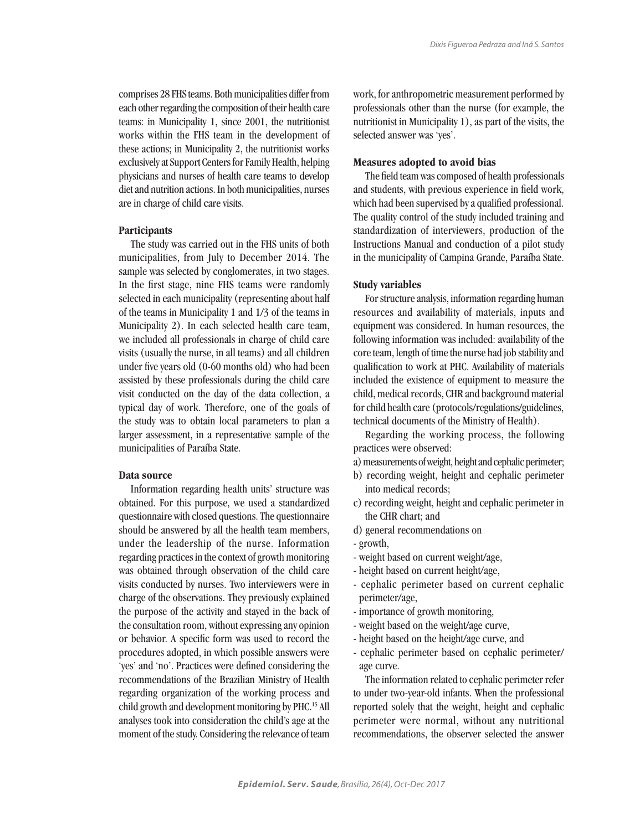comprises 28 FHS teams. Both municipalities differ from each other regarding the composition of their health care teams: in Municipality 1, since 2001, the nutritionist works within the FHS team in the development of these actions; in Municipality 2, the nutritionist works exclusively at Support Centers for Family Health, helping physicians and nurses of health care teams to develop diet and nutrition actions. In both municipalities, nurses are in charge of child care visits.

## **Participants**

The study was carried out in the FHS units of both municipalities, from July to December 2014. The sample was selected by conglomerates, in two stages. In the first stage, nine FHS teams were randomly selected in each municipality (representing about half of the teams in Municipality 1 and 1/3 of the teams in Municipality 2). In each selected health care team, we included all professionals in charge of child care visits (usually the nurse, in all teams) and all children under five years old (0-60 months old) who had been assisted by these professionals during the child care visit conducted on the day of the data collection, a typical day of work. Therefore, one of the goals of the study was to obtain local parameters to plan a larger assessment, in a representative sample of the municipalities of Paraíba State.

## **Data source**

Information regarding health units' structure was obtained. For this purpose, we used a standardized questionnaire with closed questions. The questionnaire should be answered by all the health team members, under the leadership of the nurse. Information regarding practices in the context of growth monitoring was obtained through observation of the child care visits conducted by nurses. Two interviewers were in charge of the observations. They previously explained the purpose of the activity and stayed in the back of the consultation room, without expressing any opinion or behavior. A specific form was used to record the procedures adopted, in which possible answers were 'yes' and 'no'. Practices were defined considering the recommendations of the Brazilian Ministry of Health regarding organization of the working process and child growth and development monitoring by PHC.15 All analyses took into consideration the child's age at the moment of the study. Considering the relevance of team work, for anthropometric measurement performed by professionals other than the nurse (for example, the nutritionist in Municipality 1), as part of the visits, the selected answer was 'yes'.

### **Measures adopted to avoid bias**

The field team was composed of health professionals and students, with previous experience in field work, which had been supervised by a qualified professional. The quality control of the study included training and standardization of interviewers, production of the Instructions Manual and conduction of a pilot study in the municipality of Campina Grande, Paraíba State.

#### **Study variables**

For structure analysis, information regarding human resources and availability of materials, inputs and equipment was considered. In human resources, the following information was included: availability of the core team, length of time the nurse had job stability and qualification to work at PHC. Availability of materials included the existence of equipment to measure the child, medical records, CHR and background material for child health care (protocols/regulations/guidelines, technical documents of the Ministry of Health).

Regarding the working process, the following practices were observed:

- a) measurements of weight, height and cephalic perimeter;
- b) recording weight, height and cephalic perimeter into medical records;
- c) recording weight, height and cephalic perimeter in the CHR chart; and
- d) general recommendations on
- growth,
- weight based on current weight/age,
- height based on current height/age,
- cephalic perimeter based on current cephalic perimeter/age,
- importance of growth monitoring,
- weight based on the weight/age curve,
- height based on the height/age curve, and
- cephalic perimeter based on cephalic perimeter/ age curve.

The information related to cephalic perimeter refer to under two-year-old infants. When the professional reported solely that the weight, height and cephalic perimeter were normal, without any nutritional recommendations, the observer selected the answer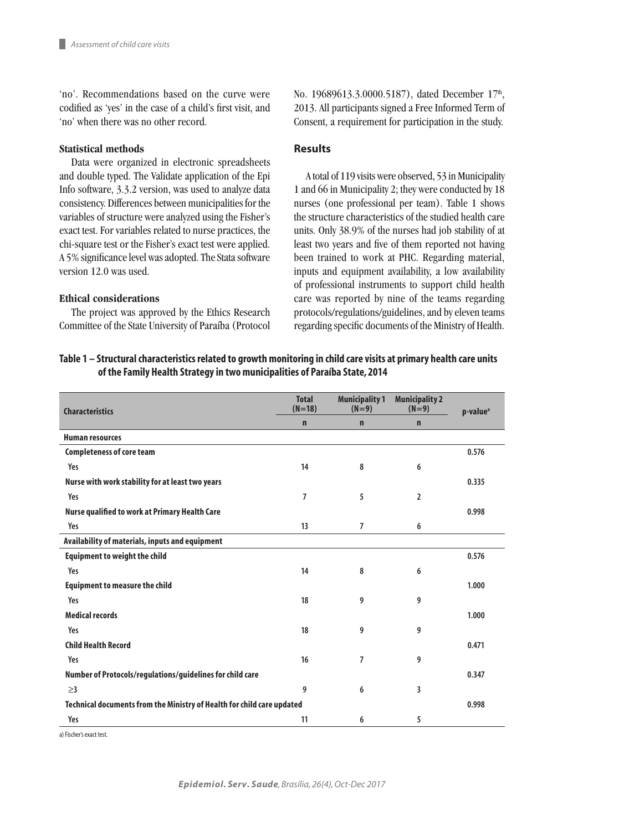'no'. Recommendations based on the curve were codified as 'yes' in the case of a child's first visit, and 'no' when there was no other record.

## **Statistical methods**

Data were organized in electronic spreadsheets and double typed. The Validate application of the Epi Info software, 3.3.2 version, was used to analyze data consistency. Differences between municipalities for the variables of structure were analyzed using the Fisher's exact test. For variables related to nurse practices, the chi-square test or the Fisher's exact test were applied. A 5% significance level was adopted. The Stata software version 12.0 was used.

### **Ethical considerations**

The project was approved by the Ethics Research Committee of the State University of Paraíba (Protocol No. 19689613.3.0000.5187), dated December 17<sup>th</sup>, 2013. All participants signed a Free Informed Term of Consent, a requirement for participation in the study.

## **Results**

A total of 119 visits were observed, 53 in Municipality 1 and 66 in Municipality 2; they were conducted by 18 nurses (one professional per team). Table 1 shows the structure characteristics of the studied health care units. Only 38.9% of the nurses had job stability of at least two years and five of them reported not having been trained to work at PHC. Regarding material, inputs and equipment availability, a low availability of professional instruments to support child health care was reported by nine of the teams regarding protocols/regulations/guidelines, and by eleven teams regarding specific documents of the Ministry of Health.

## **Table 1 – Structural characteristics related to growth monitoring in child care visits at primary health care units of the Family Health Strategy in two municipalities of Paraíba State, 2014**

| <b>Characteristics</b>                                                 | <b>Total</b><br>$(N=18)$ | <b>Municipality 1</b><br>$(N=9)$ | <b>Municipality 2</b><br>$(N=9)$ | p-value <sup>a</sup> |  |  |
|------------------------------------------------------------------------|--------------------------|----------------------------------|----------------------------------|----------------------|--|--|
|                                                                        | $\mathbf n$              | n                                | $\mathbf n$                      |                      |  |  |
| <b>Human resources</b>                                                 |                          |                                  |                                  |                      |  |  |
| <b>Completeness of core team</b>                                       |                          |                                  |                                  | 0.576                |  |  |
| Yes                                                                    | 14                       | 8                                | 6                                |                      |  |  |
| Nurse with work stability for at least two years                       |                          |                                  |                                  | 0.335                |  |  |
| Yes                                                                    | 7                        | 5                                | $\overline{2}$                   |                      |  |  |
| Nurse qualified to work at Primary Health Care                         |                          |                                  |                                  | 0.998                |  |  |
| Yes                                                                    | 13                       | 7                                | 6                                |                      |  |  |
| Availability of materials, inputs and equipment                        |                          |                                  |                                  |                      |  |  |
| <b>Equipment to weight the child</b>                                   |                          |                                  |                                  | 0.576                |  |  |
| Yes                                                                    | 14                       | 8                                | 6                                |                      |  |  |
| <b>Equipment to measure the child</b>                                  |                          |                                  |                                  | 1.000                |  |  |
| Yes                                                                    | 18                       | 9                                | 9                                |                      |  |  |
| <b>Medical records</b>                                                 |                          |                                  |                                  | 1.000                |  |  |
| Yes                                                                    | 18                       | 9                                | 9                                |                      |  |  |
| <b>Child Health Record</b>                                             |                          |                                  |                                  | 0.471                |  |  |
| Yes                                                                    | 16                       | 7                                | 9                                |                      |  |  |
| Number of Protocols/regulations/guidelines for child care              |                          |                                  |                                  | 0.347                |  |  |
| $\geq$ 3                                                               | 9                        | 6                                | 3                                |                      |  |  |
| Technical documents from the Ministry of Health for child care updated |                          |                                  |                                  |                      |  |  |
| Yes                                                                    | 11                       | 6                                | 5                                |                      |  |  |

a) Fischer's exact test.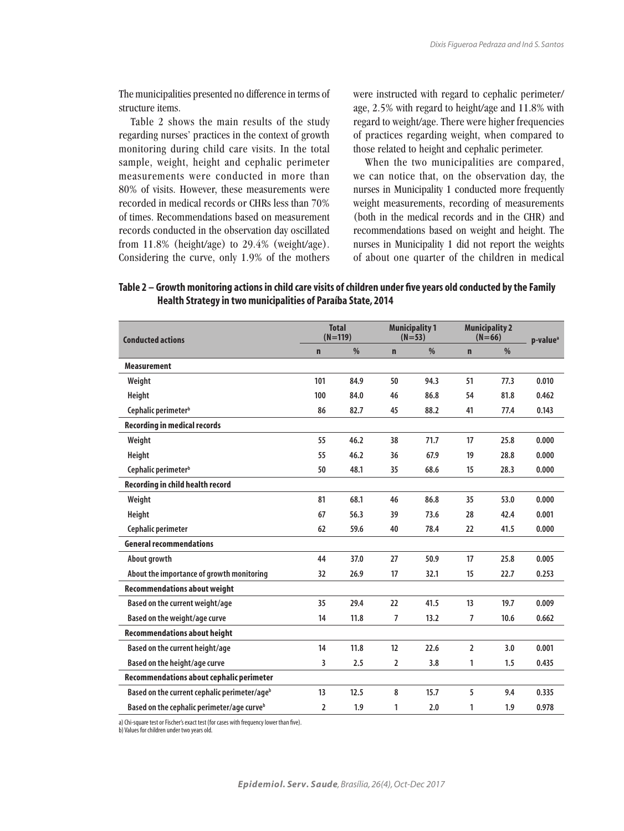The municipalities presented no difference in terms of structure items.

Table 2 shows the main results of the study regarding nurses' practices in the context of growth monitoring during child care visits. In the total sample, weight, height and cephalic perimeter measurements were conducted in more than 80% of visits. However, these measurements were recorded in medical records or CHRs less than 70% of times. Recommendations based on measurement records conducted in the observation day oscillated from 11.8% (height/age) to 29.4% (weight/age). Considering the curve, only 1.9% of the mothers were instructed with regard to cephalic perimeter/ age, 2.5% with regard to height/age and 11.8% with regard to weight/age. There were higher frequencies of practices regarding weight, when compared to those related to height and cephalic perimeter.

When the two municipalities are compared, we can notice that, on the observation day, the nurses in Municipality 1 conducted more frequently weight measurements, recording of measurements (both in the medical records and in the CHR) and recommendations based on weight and height. The nurses in Municipality 1 did not report the weights of about one quarter of the children in medical

| <b>Conducted actions</b>                                 | <b>Total</b><br>$(N=119)$ |      | <b>Municipality 1</b><br>$(N=53)$ |      | <b>Municipality 2</b><br>$(N=66)$ |               | p-value <sup>a</sup> |
|----------------------------------------------------------|---------------------------|------|-----------------------------------|------|-----------------------------------|---------------|----------------------|
|                                                          | $\mathbf n$               | $\%$ | $\mathbf n$                       | %    | $\mathbf n$                       | $\frac{0}{0}$ |                      |
| <b>Measurement</b>                                       |                           |      |                                   |      |                                   |               |                      |
| Weight                                                   | 101                       | 84.9 | 50                                | 94.3 | 51                                | 77.3          | 0.010                |
| Height                                                   | 100                       | 84.0 | 46                                | 86.8 | 54                                | 81.8          | 0.462                |
| Cephalic perimeter <sup>b</sup>                          | 86                        | 82.7 | 45                                | 88.2 | 41                                | 77.4          | 0.143                |
| <b>Recording in medical records</b>                      |                           |      |                                   |      |                                   |               |                      |
| Weight                                                   | 55                        | 46.2 | 38                                | 71.7 | 17                                | 25.8          | 0.000                |
| Height                                                   | 55                        | 46.2 | 36                                | 67.9 | 19                                | 28.8          | 0.000                |
| Cephalic perimeter <sup>b</sup>                          | 50                        | 48.1 | 35                                | 68.6 | 15                                | 28.3          | 0.000                |
| <b>Recording in child health record</b>                  |                           |      |                                   |      |                                   |               |                      |
| Weight                                                   | 81                        | 68.1 | 46                                | 86.8 | 35                                | 53.0          | 0.000                |
| Height                                                   | 67                        | 56.3 | 39                                | 73.6 | 28                                | 42.4          | 0.001                |
| Cephalic perimeter                                       | 62                        | 59.6 | 40                                | 78.4 | 22                                | 41.5          | 0.000                |
| <b>General recommendations</b>                           |                           |      |                                   |      |                                   |               |                      |
| About growth                                             | 44                        | 37.0 | 27                                | 50.9 | 17                                | 25.8          | 0.005                |
| About the importance of growth monitoring                | 32                        | 26.9 | 17                                | 32.1 | 15                                | 22.7          | 0.253                |
| <b>Recommendations about weight</b>                      |                           |      |                                   |      |                                   |               |                      |
| Based on the current weight/age                          | 35                        | 29.4 | 22                                | 41.5 | 13                                | 19.7          | 0.009                |
| Based on the weight/age curve                            | 14                        | 11.8 | $\overline{7}$                    | 13.2 | 7                                 | 10.6          | 0.662                |
| <b>Recommendations about height</b>                      |                           |      |                                   |      |                                   |               |                      |
| Based on the current height/age                          | 14                        | 11.8 | 12                                | 22.6 | $\overline{2}$                    | 3.0           | 0.001                |
| Based on the height/age curve                            | 3                         | 2.5  | 2                                 | 3.8  | 1                                 | 1.5           | 0.435                |
| Recommendations about cephalic perimeter                 |                           |      |                                   |      |                                   |               |                      |
| Based on the current cephalic perimeter/age <sup>b</sup> | 13                        | 12.5 | 8                                 | 15.7 | 5                                 | 9.4           | 0.335                |
| Based on the cephalic perimeter/age curve <sup>b</sup>   | $\overline{2}$            | 1.9  | 1                                 | 2.0  | 1                                 | 1.9           | 0.978                |

## **Table 2 – Growth monitoring actions in child care visits of children under five years old conducted by the Family Health Strategy in two municipalities of Paraíba State, 2014**

a) Chi-square test or Fischer's exact test (for cases with frequency lower than five).

b) Values for children under two years old.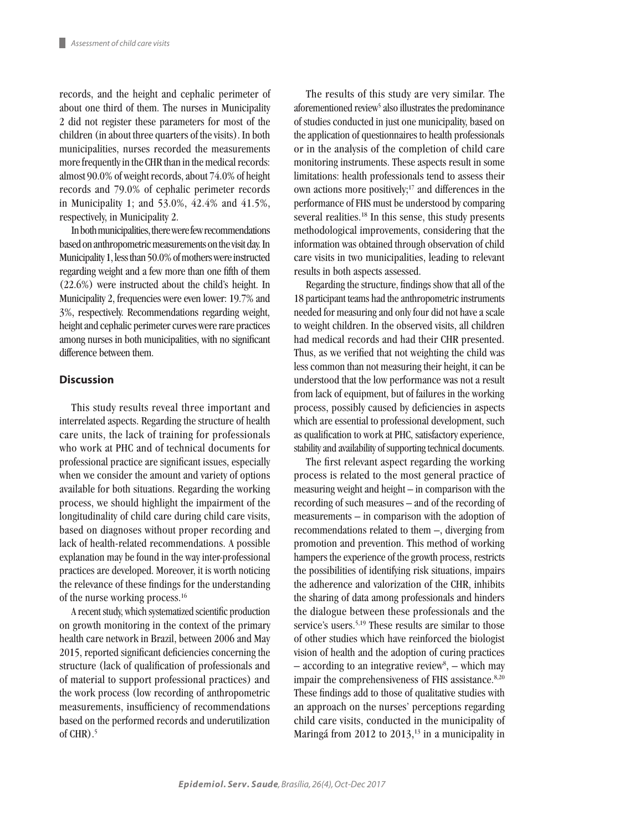records, and the height and cephalic perimeter of about one third of them. The nurses in Municipality 2 did not register these parameters for most of the children (in about three quarters of the visits). In both municipalities, nurses recorded the measurements more frequently in the CHR than in the medical records: almost 90.0% of weight records, about 74.0% of height records and 79.0% of cephalic perimeter records in Municipality 1; and 53.0%, 42.4% and 41.5%, respectively, in Municipality 2.

In both municipalities, there were few recommendations based on anthropometric measurements on the visit day. In Municipality 1, less than 50.0% of mothers were instructed regarding weight and a few more than one fifth of them (22.6%) were instructed about the child's height. In Municipality 2, frequencies were even lower: 19.7% and 3%, respectively. Recommendations regarding weight, height and cephalic perimeter curves were rare practices among nurses in both municipalities, with no significant difference between them.

## **Discussion**

This study results reveal three important and interrelated aspects. Regarding the structure of health care units, the lack of training for professionals who work at PHC and of technical documents for professional practice are significant issues, especially when we consider the amount and variety of options available for both situations. Regarding the working process, we should highlight the impairment of the longitudinality of child care during child care visits, based on diagnoses without proper recording and lack of health-related recommendations. A possible explanation may be found in the way inter-professional practices are developed. Moreover, it is worth noticing the relevance of these findings for the understanding of the nurse working process.16

A recent study, which systematized scientific production on growth monitoring in the context of the primary health care network in Brazil, between 2006 and May 2015, reported significant deficiencies concerning the structure (lack of qualification of professionals and of material to support professional practices) and the work process (low recording of anthropometric measurements, insufficiency of recommendations based on the performed records and underutilization of  $CHR$ ).<sup>5</sup>

The results of this study are very similar. The aforementioned review<sup>5</sup> also illustrates the predominance of studies conducted in just one municipality, based on the application of questionnaires to health professionals or in the analysis of the completion of child care monitoring instruments. These aspects result in some limitations: health professionals tend to assess their own actions more positively;<sup>17</sup> and differences in the performance of FHS must be understood by comparing several realities.<sup>18</sup> In this sense, this study presents methodological improvements, considering that the information was obtained through observation of child care visits in two municipalities, leading to relevant results in both aspects assessed.

Regarding the structure, findings show that all of the 18 participant teams had the anthropometric instruments needed for measuring and only four did not have a scale to weight children. In the observed visits, all children had medical records and had their CHR presented. Thus, as we verified that not weighting the child was less common than not measuring their height, it can be understood that the low performance was not a result from lack of equipment, but of failures in the working process, possibly caused by deficiencies in aspects which are essential to professional development, such as qualification to work at PHC, satisfactory experience, stability and availability of supporting technical documents.

The first relevant aspect regarding the working process is related to the most general practice of measuring weight and height – in comparison with the recording of such measures – and of the recording of measurements – in comparison with the adoption of recommendations related to them –, diverging from promotion and prevention. This method of working hampers the experience of the growth process, restricts the possibilities of identifying risk situations, impairs the adherence and valorization of the CHR, inhibits the sharing of data among professionals and hinders the dialogue between these professionals and the service's users.<sup>5,19</sup> These results are similar to those of other studies which have reinforced the biologist vision of health and the adoption of curing practices  $-$  according to an integrative review<sup>8</sup>,  $-$  which may impair the comprehensiveness of FHS assistance.<sup>8,20</sup> These findings add to those of qualitative studies with an approach on the nurses' perceptions regarding child care visits, conducted in the municipality of Maringá from 2012 to  $2013$ ,<sup>13</sup> in a municipality in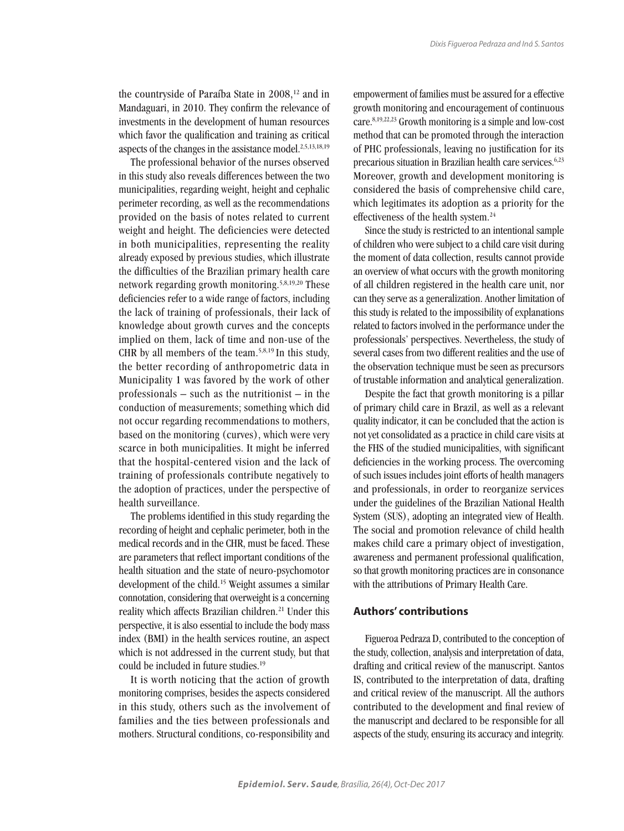the countryside of Paraíba State in 2008,<sup>12</sup> and in Mandaguari, in 2010. They confirm the relevance of investments in the development of human resources which favor the qualification and training as critical aspects of the changes in the assistance model.2,5,13,18,19

The professional behavior of the nurses observed in this study also reveals differences between the two municipalities, regarding weight, height and cephalic perimeter recording, as well as the recommendations provided on the basis of notes related to current weight and height. The deficiencies were detected in both municipalities, representing the reality already exposed by previous studies, which illustrate the difficulties of the Brazilian primary health care network regarding growth monitoring.5,8,19,20 These deficiencies refer to a wide range of factors, including the lack of training of professionals, their lack of knowledge about growth curves and the concepts implied on them, lack of time and non-use of the CHR by all members of the team.<sup>5,8,19</sup> In this study, the better recording of anthropometric data in Municipality 1 was favored by the work of other professionals – such as the nutritionist – in the conduction of measurements; something which did not occur regarding recommendations to mothers, based on the monitoring (curves), which were very scarce in both municipalities. It might be inferred that the hospital-centered vision and the lack of training of professionals contribute negatively to the adoption of practices, under the perspective of health surveillance.

The problems identified in this study regarding the recording of height and cephalic perimeter, both in the medical records and in the CHR, must be faced. These are parameters that reflect important conditions of the health situation and the state of neuro-psychomotor development of the child.15 Weight assumes a similar connotation, considering that overweight is a concerning reality which affects Brazilian children.<sup>21</sup> Under this perspective, it is also essential to include the body mass index (BMI) in the health services routine, an aspect which is not addressed in the current study, but that could be included in future studies.<sup>19</sup>

It is worth noticing that the action of growth monitoring comprises, besides the aspects considered in this study, others such as the involvement of families and the ties between professionals and mothers. Structural conditions, co-responsibility and

empowerment of families must be assured for a effective growth monitoring and encouragement of continuous care.8,19,22,23 Growth monitoring is a simple and low-cost method that can be promoted through the interaction of PHC professionals, leaving no justification for its precarious situation in Brazilian health care services.<sup>6,23</sup> Moreover, growth and development monitoring is considered the basis of comprehensive child care, which legitimates its adoption as a priority for the effectiveness of the health system.<sup>24</sup>

Since the study is restricted to an intentional sample of children who were subject to a child care visit during the moment of data collection, results cannot provide an overview of what occurs with the growth monitoring of all children registered in the health care unit, nor can they serve as a generalization. Another limitation of this study is related to the impossibility of explanations related to factors involved in the performance under the professionals' perspectives. Nevertheless, the study of several cases from two different realities and the use of the observation technique must be seen as precursors of trustable information and analytical generalization.

Despite the fact that growth monitoring is a pillar of primary child care in Brazil, as well as a relevant quality indicator, it can be concluded that the action is not yet consolidated as a practice in child care visits at the FHS of the studied municipalities, with significant deficiencies in the working process. The overcoming of such issues includes joint efforts of health managers and professionals, in order to reorganize services under the guidelines of the Brazilian National Health System (SUS), adopting an integrated view of Health. The social and promotion relevance of child health makes child care a primary object of investigation, awareness and permanent professional qualification, so that growth monitoring practices are in consonance with the attributions of Primary Health Care.

## **Authors' contributions**

Figueroa Pedraza D, contributed to the conception of the study, collection, analysis and interpretation of data, drafting and critical review of the manuscript. Santos IS, contributed to the interpretation of data, drafting and critical review of the manuscript. All the authors contributed to the development and final review of the manuscript and declared to be responsible for all aspects of the study, ensuring its accuracy and integrity.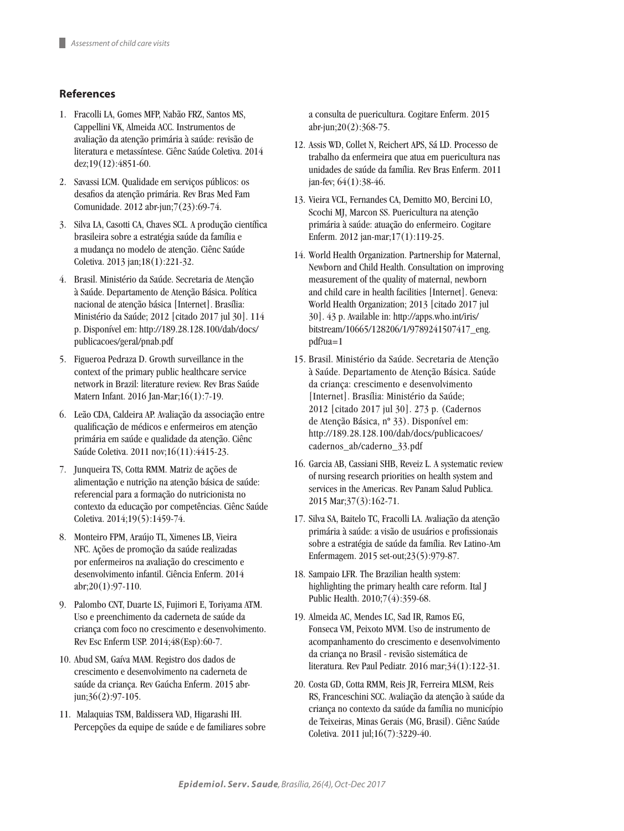## **References**

- 1. Fracolli LA, Gomes MFP, Nabão FRZ, Santos MS, Cappellini VK, Almeida ACC. Instrumentos de avaliação da atenção primária à saúde: revisão de literatura e metassíntese. Ciênc Saúde Coletiva. 2014 dez;19(12):4851-60.
- 2. Savassi LCM. Qualidade em serviços públicos: os desafios da atenção primária. Rev Bras Med Fam Comunidade. 2012 abr-jun;7(23):69-74.
- 3. Silva LA, Casotti CA, Chaves SCL. A produção científica brasileira sobre a estratégia saúde da família e a mudança no modelo de atenção. Ciênc Saúde Coletiva. 2013 jan;18(1):221-32.
- 4. Brasil. Ministério da Saúde. Secretaria de Atenção à Saúde. Departamento de Atenção Básica. Política nacional de atenção básica [Internet]. Brasília: Ministério da Saúde; 2012 [citado 2017 jul 30]. 114 p. Disponível em: http://189.28.128.100/dab/docs/ publicacoes/geral/pnab.pdf
- 5. Figueroa Pedraza D. Growth surveillance in the context of the primary public healthcare service network in Brazil: literature review. Rev Bras Saúde Matern Infant. 2016 Jan-Mar;16(1):7-19.
- 6. Leão CDA, Caldeira AP. Avaliação da associação entre qualificação de médicos e enfermeiros em atenção primária em saúde e qualidade da atenção. Ciênc Saúde Coletiva. 2011 nov;16(11):4415-23.
- 7. Junqueira TS, Cotta RMM. Matriz de ações de alimentação e nutrição na atenção básica de saúde: referencial para a formação do nutricionista no contexto da educação por competências. Ciênc Saúde Coletiva. 2014;19(5):1459-74.
- 8. Monteiro FPM, Araújo TL, Ximenes LB, Vieira NFC. Ações de promoção da saúde realizadas por enfermeiros na avaliação do crescimento e desenvolvimento infantil. Ciência Enferm. 2014  $abr:20(1):97-110.$
- 9. Palombo CNT, Duarte LS, Fujimori E, Toriyama ATM. Uso e preenchimento da caderneta de saúde da criança com foco no crescimento e desenvolvimento. Rev Esc Enferm USP. 2014;48(Esp):60-7.
- 10. Abud SM, Gaíva MAM. Registro dos dados de crescimento e desenvolvimento na caderneta de saúde da criança. Rev Gaúcha Enferm. 2015 abrjun;36(2):97-105.
- 11. Malaquias TSM, Baldissera VAD, Higarashi IH. Percepções da equipe de saúde e de familiares sobre

a consulta de puericultura. Cogitare Enferm. 2015 abr-jun;20(2):368-75.

- 12. Assis WD, Collet N, Reichert APS, Sá LD. Processo de trabalho da enfermeira que atua em puericultura nas unidades de saúde da família. Rev Bras Enferm. 2011 jan-fev; 64(1):38-46.
- 13. Vieira VCL, Fernandes CA, Demitto MO, Bercini LO, Scochi MJ, Marcon SS. Puericultura na atenção primária à saúde: atuação do enfermeiro. Cogitare Enferm. 2012 jan-mar;17(1):119-25.
- 14. World Health Organization. Partnership for Maternal, Newborn and Child Health. Consultation on improving measurement of the quality of maternal, newborn and child care in health facilities [Internet]. Geneva: World Health Organization; 2013 [citado 2017 jul 30]. 43 p. Available in: http://apps.who.int/iris/ bitstream/10665/128206/1/9789241507417\_eng. pdf?ua=1
- 15. Brasil. Ministério da Saúde. Secretaria de Atenção à Saúde. Departamento de Atenção Básica. Saúde da criança: crescimento e desenvolvimento [Internet]. Brasília: Ministério da Saúde; 2012 [citado 2017 jul 30]. 273 p. (Cadernos de Atenção Básica, nº 33). Disponível em: http://189.28.128.100/dab/docs/publicacoes/ cadernos\_ab/caderno\_33.pdf
- 16. Garcia AB, Cassiani SHB, Reveiz L. A systematic review of nursing research priorities on health system and services in the Americas. Rev Panam Salud Publica. 2015 Mar;37(3):162-71.
- 17. Silva SA, Baitelo TC, Fracolli LA. Avaliação da atenção primária à saúde: a visão de usuários e profissionais sobre a estratégia de saúde da família. Rev Latino-Am Enfermagem. 2015 set-out;23(5):979-87.
- 18. Sampaio LFR. The Brazilian health system: highlighting the primary health care reform. Ital J Public Health. 2010;7(4):359-68.
- 19. Almeida AC, Mendes LC, Sad IR, Ramos EG, Fonseca VM, Peixoto MVM. Uso de instrumento de acompanhamento do crescimento e desenvolvimento da criança no Brasil - revisão sistemática de literatura. Rev Paul Pediatr. 2016 mar;34(1):122-31.
- 20. Costa GD, Cotta RMM, Reis JR, Ferreira MLSM, Reis RS, Franceschini SCC. Avaliação da atenção à saúde da criança no contexto da saúde da família no município de Teixeiras, Minas Gerais (MG, Brasil). Ciênc Saúde Coletiva. 2011 jul;16(7):3229-40.